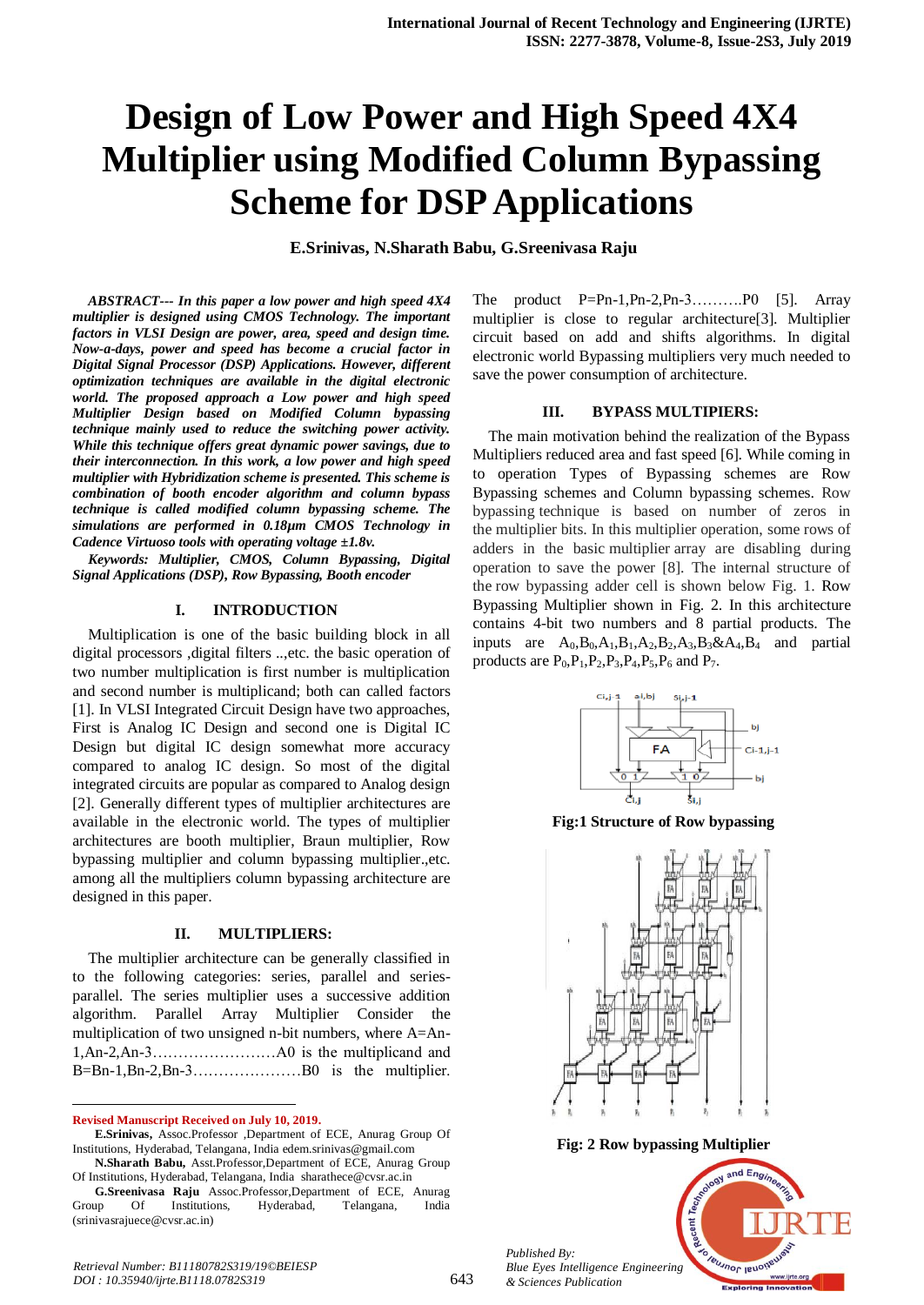# **Design of Low Power and High Speed 4X4 Multiplier using Modified Column Bypassing Scheme for DSP Applications**

**E.Srinivas, N.Sharath Babu, G.Sreenivasa Raju**

*ABSTRACT--- In this paper a low power and high speed 4X4 multiplier is designed using CMOS Technology. The important factors in VLSI Design are power, area, speed and design time. Now-a-days, power and speed has become a crucial factor in Digital Signal Processor (DSP) Applications. However, different optimization techniques are available in the digital electronic world. The proposed approach a Low power and high speed Multiplier Design based on Modified Column bypassing technique mainly used to reduce the switching power activity. While this technique offers great dynamic power savings, due to their interconnection. In this work, a low power and high speed multiplier with Hybridization scheme is presented. This scheme is combination of booth encoder algorithm and column bypass technique is called modified column bypassing scheme. The simulations are performed in 0.18µm CMOS Technology in Cadence Virtuoso tools with operating voltage ±1.8v.*

*Keywords: Multiplier, CMOS, Column Bypassing, Digital Signal Applications (DSP), Row Bypassing, Booth encoder*

# **I. INTRODUCTION**

Multiplication is one of the basic building block in all digital processors ,digital filters ..,etc. the basic operation of two number multiplication is first number is multiplication and second number is multiplicand; both can called factors [1]. In VLSI Integrated Circuit Design have two approaches, First is Analog IC Design and second one is Digital IC Design but digital IC design somewhat more accuracy compared to analog IC design. So most of the digital integrated circuits are popular as compared to Analog design [2]. Generally different types of multiplier architectures are available in the electronic world. The types of multiplier architectures are booth multiplier, Braun multiplier, Row bypassing multiplier and column bypassing multiplier.,etc. among all the multipliers column bypassing architecture are designed in this paper.

#### **II. MULTIPLIERS:**

The multiplier architecture can be generally classified in to the following categories: series, parallel and seriesparallel. The series multiplier uses a successive addition algorithm. Parallel Array Multiplier Consider the multiplication of two unsigned n-bit numbers, where A=An-1,An-2,An-3……………………A0 is the multiplicand and B=Bn-1,Bn-2,Bn-3…………………B0 is the multiplier.

**Revised Manuscript Received on July 10, 2019.**

 $\overline{a}$ 

The product P=Pn-1,Pn-2,Pn-3……….P0 [5]. Array multiplier is close to regular architecture[3]. Multiplier circuit based on add and shifts algorithms. In digital electronic world Bypassing multipliers very much needed to save the power consumption of architecture.

#### **III. BYPASS MULTIPIERS:**

The main motivation behind the realization of the Bypass Multipliers reduced area and fast speed [6]. While coming in to operation Types of Bypassing schemes are Row Bypassing schemes and Column bypassing schemes. Row bypassing technique is based on number of zeros in the multiplier bits. In this multiplier operation, some rows of adders in the basic multiplier array are disabling during operation to save the power [8]. The internal structure of the row bypassing adder cell is shown below Fig. 1. Row Bypassing Multiplier shown in Fig. 2. In this architecture contains 4-bit two numbers and 8 partial products. The inputs are  $A_0$ ,  $B_0$ ,  $A_1$ ,  $B_1$ ,  $A_2$ ,  $B_2$ ,  $A_3$ ,  $B_3$ ,  $\&$ ,  $A_4$ ,  $B_4$  and partial products are  $P_0, P_1, P_2, P_3, P_4, P_5, P_6$  and  $P_7$ .



**Fig:1 Structure of Row bypassing**



**Fig: 2 Row bypassing Multiplier**

*Published By: Blue Eyes Intelligence Engineering & Sciences Publication* 



**E.Srinivas,** Assoc.Professor ,Department of ECE, Anurag Group Of Institutions, Hyderabad, Telangana, India edem.srinivas@gmail.com **N.Sharath Babu,** Asst.Professor,Department of ECE, Anurag Group

Of Institutions, Hyderabad, Telangana, India sharathece@cvsr.ac.in

**G.Sreenivasa Raju** Assoc.Professor,Department of ECE, Anurag Group Of Institutions, Hyderabad, Telangana, India (srinivasrajuece@cvsr.ac.in)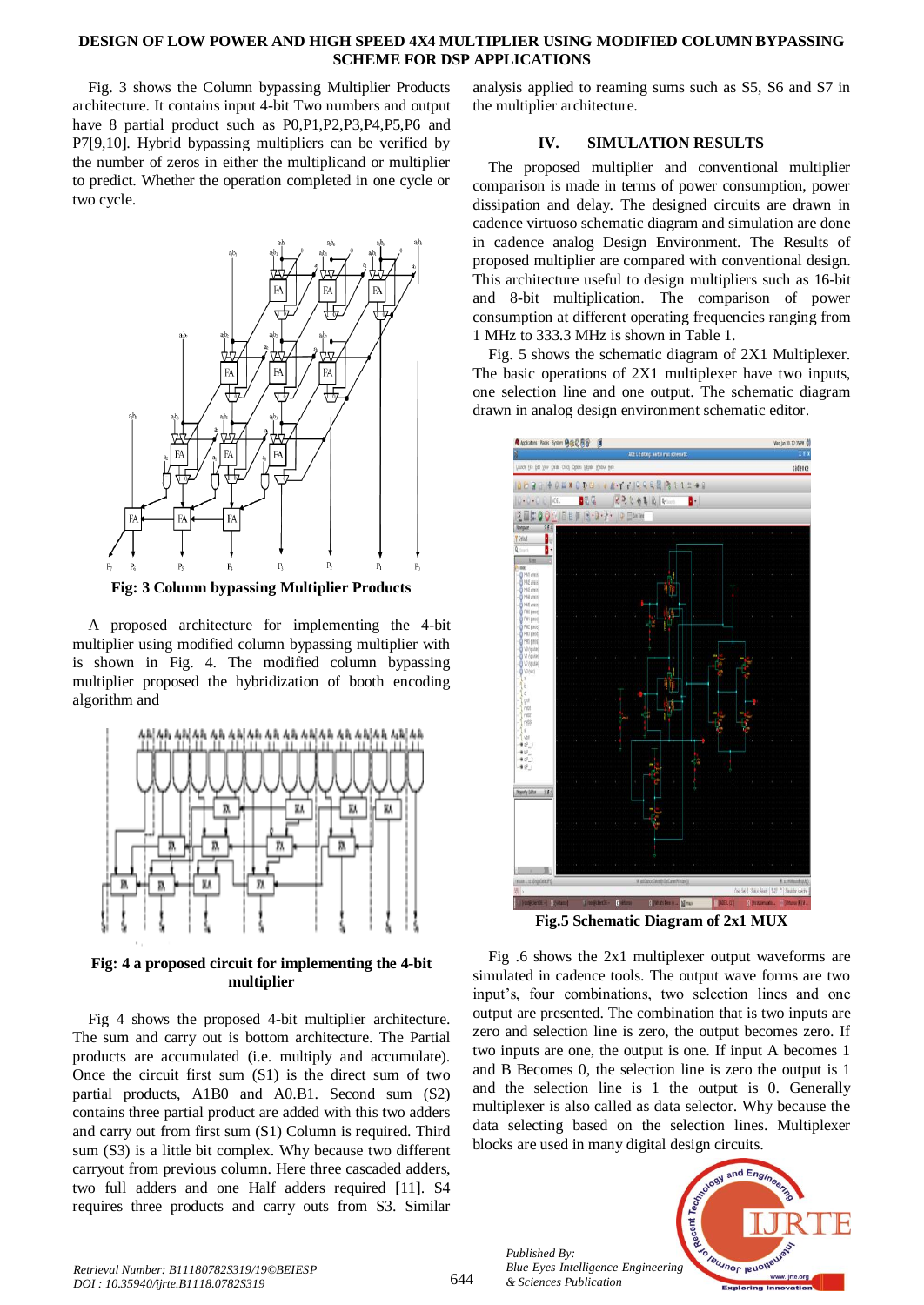#### **DESIGN OF LOW POWER AND HIGH SPEED 4X4 MULTIPLIER USING MODIFIED COLUMN BYPASSING SCHEME FOR DSP APPLICATIONS**

Fig. 3 shows the Column bypassing Multiplier Products architecture. It contains input 4-bit Two numbers and output have 8 partial product such as P0,P1,P2,P3,P4,P5,P6 and P7[9,10]. Hybrid bypassing multipliers can be verified by the number of zeros in either the multiplicand or multiplier to predict. Whether the operation completed in one cycle or two cycle.



**Fig: 3 Column bypassing Multiplier Products**

A proposed architecture for implementing the 4-bit multiplier using modified column bypassing multiplier with is shown in Fig. 4. The modified column bypassing multiplier proposed the hybridization of booth encoding algorithm and



**Fig: 4 a proposed circuit for implementing the 4-bit multiplier**

Fig 4 shows the proposed 4-bit multiplier architecture. The sum and carry out is bottom architecture. The Partial products are accumulated (i.e. multiply and accumulate). Once the circuit first sum (S1) is the direct sum of two partial products, A1B0 and A0.B1. Second sum (S2) contains three partial product are added with this two adders and carry out from first sum (S1) Column is required. Third sum (S3) is a little bit complex. Why because two different carryout from previous column. Here three cascaded adders, two full adders and one Half adders required [11]. S4 requires three products and carry outs from S3. Similar analysis applied to reaming sums such as S5, S6 and S7 in the multiplier architecture.

# **IV. SIMULATION RESULTS**

The proposed multiplier and conventional multiplier comparison is made in terms of power consumption, power dissipation and delay. The designed circuits are drawn in cadence virtuoso schematic diagram and simulation are done in cadence analog Design Environment. The Results of proposed multiplier are compared with conventional design. This architecture useful to design multipliers such as 16-bit and 8-bit multiplication. The comparison of power consumption at different operating frequencies ranging from 1 MHz to 333.3 MHz is shown in Table 1.

Fig. 5 shows the schematic diagram of 2X1 Multiplexer. The basic operations of 2X1 multiplexer have two inputs, one selection line and one output. The schematic diagram drawn in analog design environment schematic editor.



**Fig.5 Schematic Diagram of 2x1 MUX**

Fig .6 shows the 2x1 multiplexer output waveforms are simulated in cadence tools. The output wave forms are two input's, four combinations, two selection lines and one output are presented. The combination that is two inputs are zero and selection line is zero, the output becomes zero. If two inputs are one, the output is one. If input A becomes 1 and B Becomes 0, the selection line is zero the output is 1 and the selection line is 1 the output is 0. Generally multiplexer is also called as data selector. Why because the data selecting based on the selection lines. Multiplexer blocks are used in many digital design circuits.

*Published By: Blue Eyes Intelligence Engineering & Sciences Publication* 

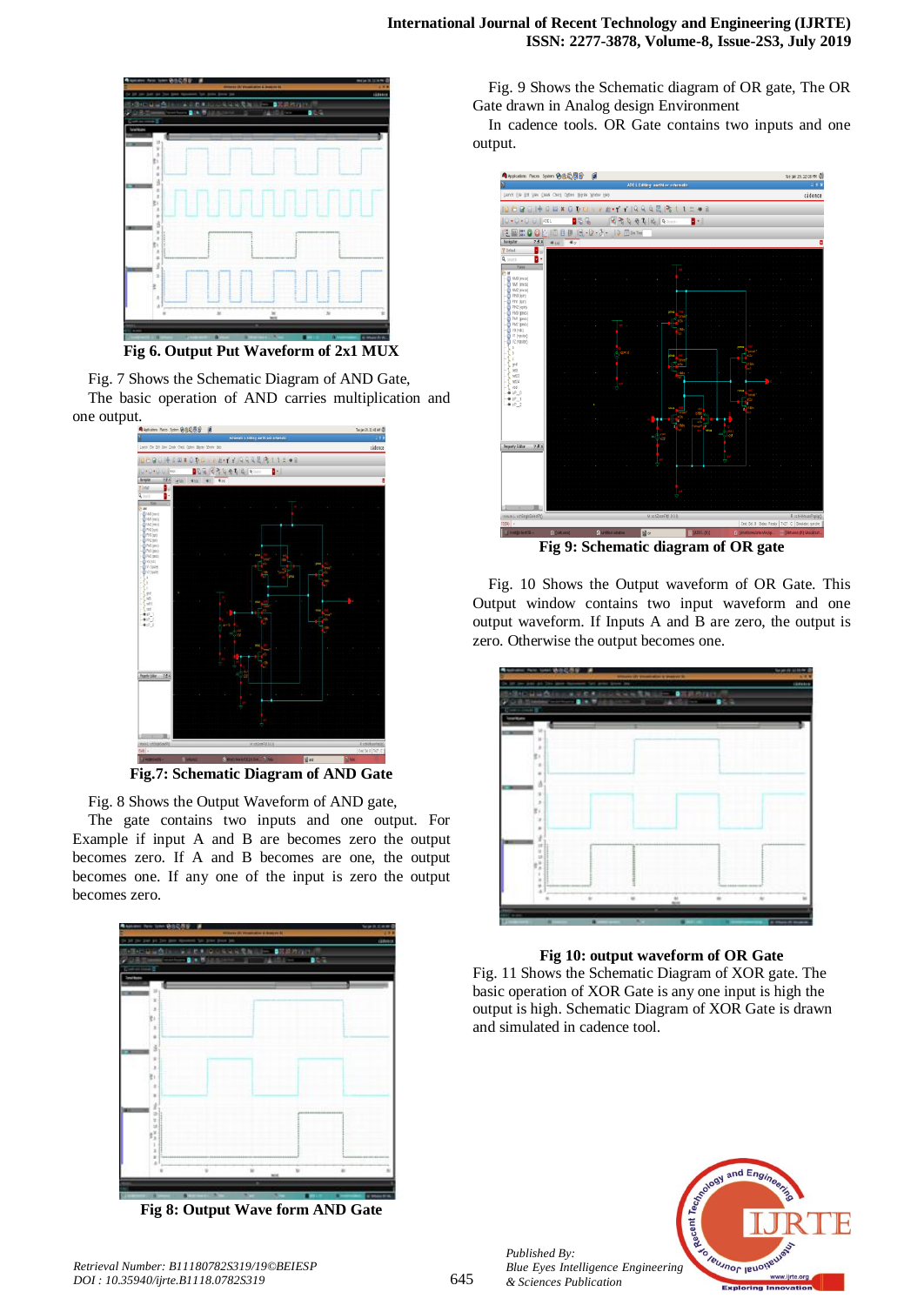

**Fig 6. Output Put Waveform of 2x1 MUX**

Fig. 7 Shows the Schematic Diagram of AND Gate, The basic operation of AND carries multiplication and one output.



**Fig.7: Schematic Diagram of AND Gate**

Fig. 8 Shows the Output Waveform of AND gate,

The gate contains two inputs and one output. For Example if input A and B are becomes zero the output becomes zero. If A and B becomes are one, the output becomes one. If any one of the input is zero the output becomes zero.



**Fig 8: Output Wave form AND Gate**

Fig. 9 Shows the Schematic diagram of OR gate, The OR Gate drawn in Analog design Environment

In cadence tools. OR Gate contains two inputs and one output.



Fig. 10 Shows the Output waveform of OR Gate. This Output window contains two input waveform and one output waveform. If Inputs A and B are zero, the output is zero. Otherwise the output becomes one.



#### **Fig 10: output waveform of OR Gate**

Fig. 11 Shows the Schematic Diagram of XOR gate. The basic operation of XOR Gate is any one input is high the output is high. Schematic Diagram of XOR Gate is drawn and simulated in cadence tool.



*Published By:*

*& Sciences Publication*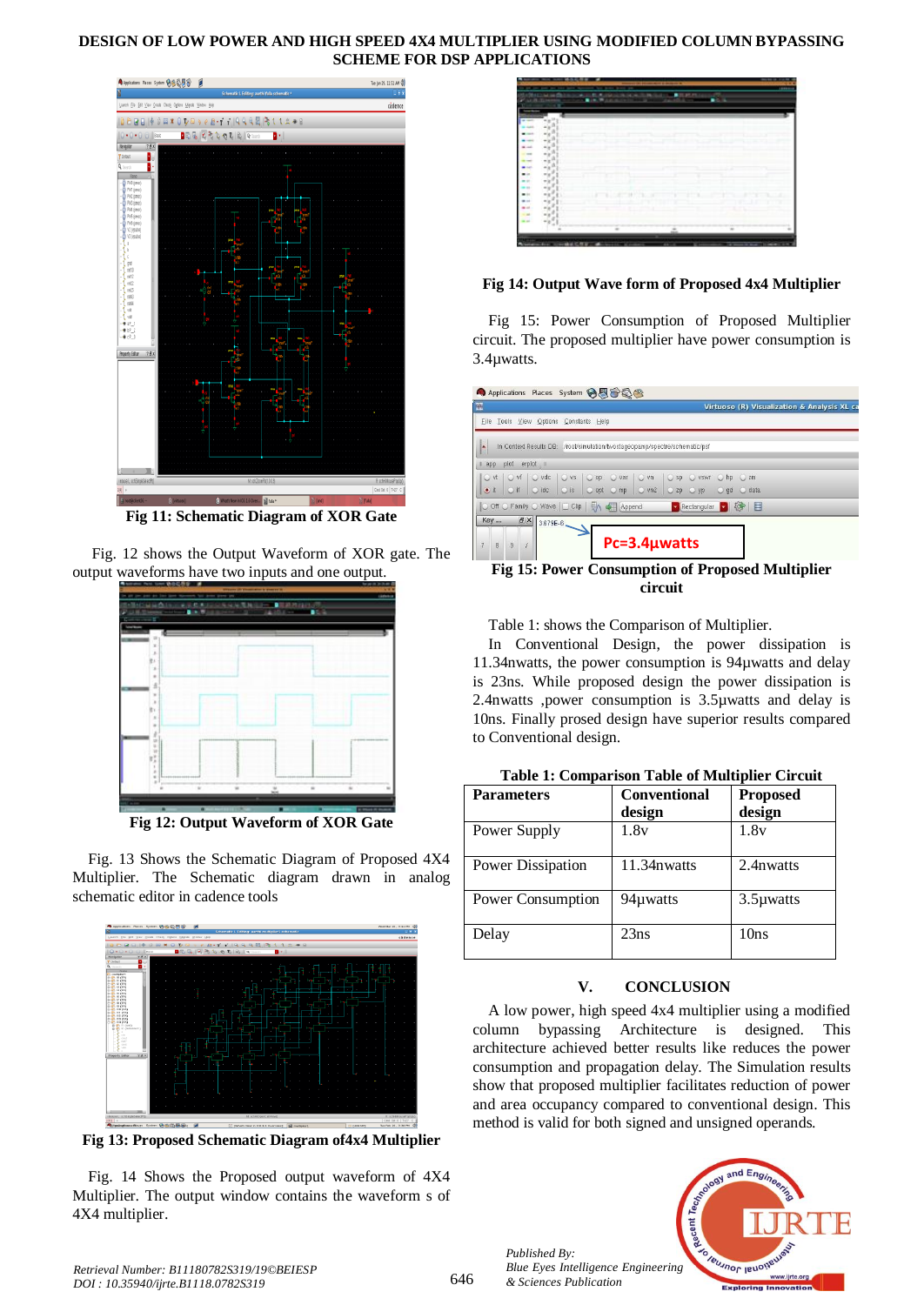# **DESIGN OF LOW POWER AND HIGH SPEED 4X4 MULTIPLIER USING MODIFIED COLUMN BYPASSING SCHEME FOR DSP APPLICATIONS**



**Fig 11: Schematic Diagram of XOR Gate**

Fig. 12 shows the Output Waveform of XOR gate. The output waveforms have two inputs and one output.



**Fig 12: Output Waveform of XOR Gate**

Fig. 13 Shows the Schematic Diagram of Proposed 4X4 Multiplier. The Schematic diagram drawn in analog schematic editor in cadence tools



**Fig 13: Proposed Schematic Diagram of4x4 Multiplier** 

Fig. 14 Shows the Proposed output waveform of 4X4 Multiplier. The output window contains the waveform s of 4X4 multiplier.



# **Fig 14: Output Wave form of Proposed 4x4 Multiplier**

Fig 15: Power Consumption of Proposed Multiplier circuit. The proposed multiplier have power consumption is 3.4µwatts.

| 冦                                                          | Virtuoso (R) Visualization & Analysis XL ca                                  |
|------------------------------------------------------------|------------------------------------------------------------------------------|
| File Tools View Options                                    | Constants Help                                                               |
| In Context Results DB:<br>A                                | /root/simulation/twostageopamp/spectre/schematic/psf                         |
| plot<br>erplot<br>app<br>uШ                                |                                                                              |
| O vdc<br>$\bigcirc$ vs<br>O vt<br>O vf                     | O var<br>$\cup$ vn<br>$\bigcup$ sp<br>$O$ op<br><b>VSWT</b><br>hp<br>2m<br>O |
| $O$ if<br>$O$ $\frac{1}{10}$<br>$\circ$ is<br>$\bullet$ it | $\sim$ vn2<br>O opt O mp<br>$Q$ yp<br>$Q$ zp<br>$Q$ gd<br>C data             |
| O Off O Family O Wave   Clip   M O Append                  | Rectangular 8 6                                                              |
| $E \times$<br><b>Key</b><br>$43.679E-6$                    |                                                                              |
| $\overline{9}$<br>$\overline{7}$<br>å.                     | $Pc=3.4$ µwatts                                                              |
|                                                            | Fig 15: Power Consumption of Proposed Multiplier                             |

**Fig 15: Power Consumption of Proposed Multiplier circuit**

Table 1: shows the Comparison of Multiplier.

In Conventional Design, the power dissipation is 11.34nwatts, the power consumption is 94µwatts and delay is 23ns. While proposed design the power dissipation is 2.4nwatts ,power consumption is 3.5µwatts and delay is 10ns. Finally prosed design have superior results compared to Conventional design.

| <b>Parameters</b> | <b>Conventional</b> | <b>Proposed</b> |
|-------------------|---------------------|-----------------|
|                   | design              | design          |
| Power Supply      | 1.8v                | 1.8v            |
| Power Dissipation | 11.34nwatts         | 2.4 n watts     |
| Power Consumption | 94µwatts            | 3.5µwatts       |
| Delay             | 23ns                | 10ns            |

# **Table 1: Comparison Table of Multiplier Circuit**

# **V. CONCLUSION**

A low power, high speed 4x4 multiplier using a modified column bypassing Architecture is designed. This architecture achieved better results like reduces the power consumption and propagation delay. The Simulation results show that proposed multiplier facilitates reduction of power and area occupancy compared to conventional design. This method is valid for both signed and unsigned operands.



*Published By: Blue Eyes Intelligence Engineering & Sciences Publication*